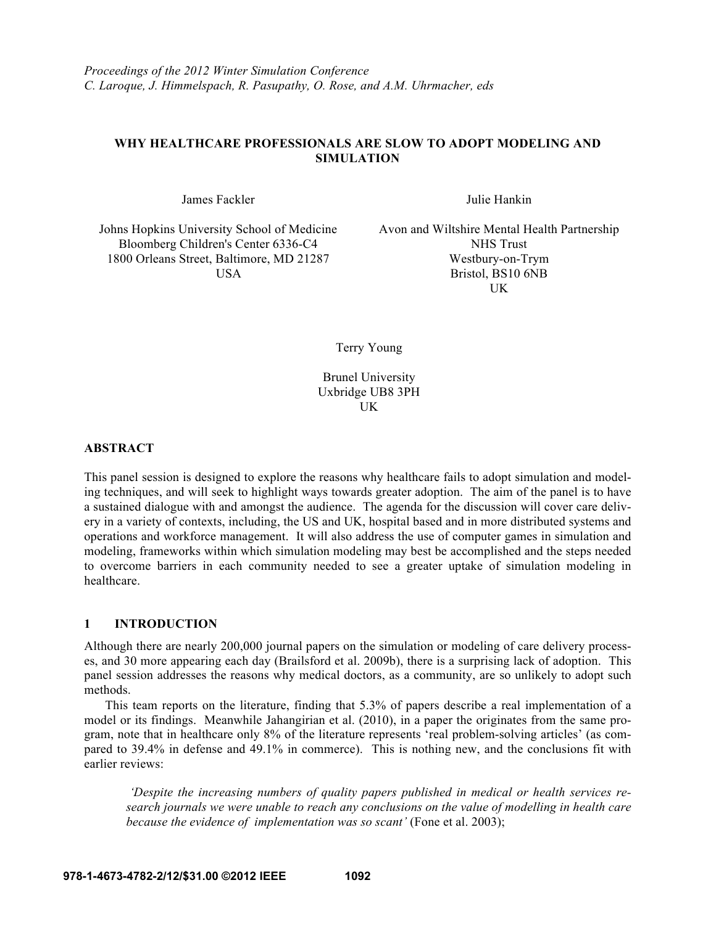# **WHY HEALTHCARE PROFESSIONALS ARE SLOW TO ADOPT MODELING AND SIMULATION**

James Fackler Julie Hankin

Johns Hopkins University School of Medicine Bloomberg Children's Center 6336-C4 1800 Orleans Street, Baltimore, MD 21287 USA

Avon and Wiltshire Mental Health Partnership NHS Trust Westbury-on-Trym Bristol, BS10 6NB UK

Terry Young

Brunel University Uxbridge UB8 3PH UK

## **ABSTRACT**

This panel session is designed to explore the reasons why healthcare fails to adopt simulation and modeling techniques, and will seek to highlight ways towards greater adoption. The aim of the panel is to have a sustained dialogue with and amongst the audience. The agenda for the discussion will cover care delivery in a variety of contexts, including, the US and UK, hospital based and in more distributed systems and operations and workforce management. It will also address the use of computer games in simulation and modeling, frameworks within which simulation modeling may best be accomplished and the steps needed to overcome barriers in each community needed to see a greater uptake of simulation modeling in healthcare.

# **1 INTRODUCTION**

Although there are nearly 200,000 journal papers on the simulation or modeling of care delivery processes, and 30 more appearing each day (Brailsford et al. 2009b), there is a surprising lack of adoption. This panel session addresses the reasons why medical doctors, as a community, are so unlikely to adopt such methods.

 This team reports on the literature, finding that 5.3% of papers describe a real implementation of a model or its findings. Meanwhile Jahangirian et al. (2010), in a paper the originates from the same program, note that in healthcare only 8% of the literature represents 'real problem-solving articles' (as compared to 39.4% in defense and 49.1% in commerce). This is nothing new, and the conclusions fit with earlier reviews:

 *'Despite the increasing numbers of quality papers published in medical or health services research journals we were unable to reach any conclusions on the value of modelling in health care because the evidence of implementation was so scant'* (Fone et al. 2003);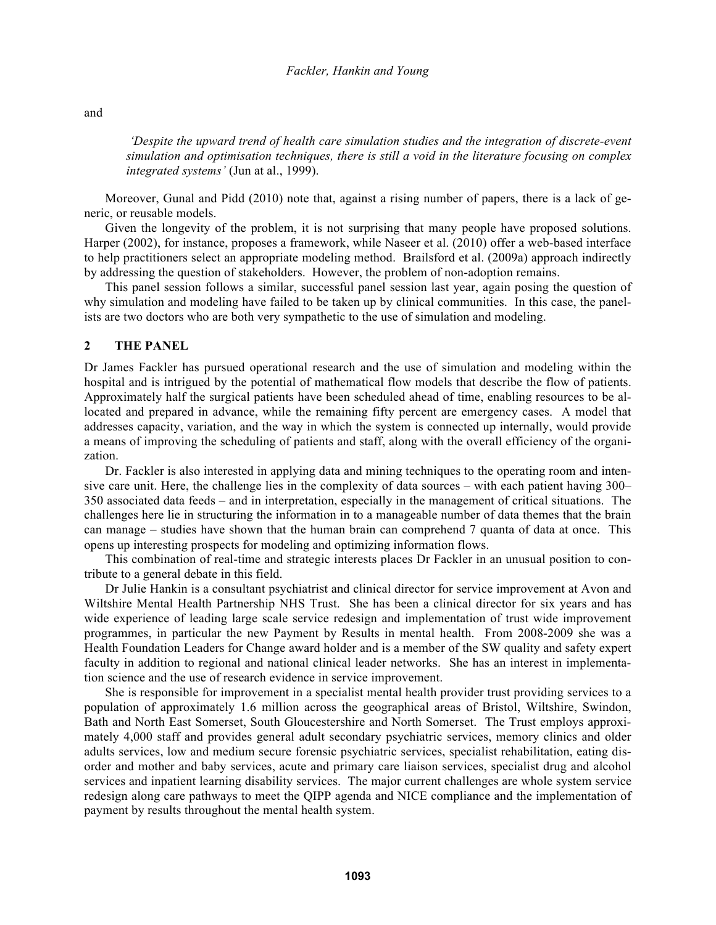*'Despite the upward trend of health care simulation studies and the integration of discrete-event simulation and optimisation techniques, there is still a void in the literature focusing on complex integrated systems'* (Jun at al., 1999).

 Moreover, Gunal and Pidd (2010) note that, against a rising number of papers, there is a lack of generic, or reusable models.

 Given the longevity of the problem, it is not surprising that many people have proposed solutions. Harper (2002), for instance, proposes a framework, while Naseer et al. (2010) offer a web-based interface to help practitioners select an appropriate modeling method. Brailsford et al. (2009a) approach indirectly by addressing the question of stakeholders. However, the problem of non-adoption remains.

 This panel session follows a similar, successful panel session last year, again posing the question of why simulation and modeling have failed to be taken up by clinical communities. In this case, the panelists are two doctors who are both very sympathetic to the use of simulation and modeling.

## **2 THE PANEL**

Dr James Fackler has pursued operational research and the use of simulation and modeling within the hospital and is intrigued by the potential of mathematical flow models that describe the flow of patients. Approximately half the surgical patients have been scheduled ahead of time, enabling resources to be allocated and prepared in advance, while the remaining fifty percent are emergency cases. A model that addresses capacity, variation, and the way in which the system is connected up internally, would provide a means of improving the scheduling of patients and staff, along with the overall efficiency of the organization.

Dr. Fackler is also interested in applying data and mining techniques to the operating room and intensive care unit. Here, the challenge lies in the complexity of data sources – with each patient having 300– 350 associated data feeds – and in interpretation, especially in the management of critical situations. The challenges here lie in structuring the information in to a manageable number of data themes that the brain can manage – studies have shown that the human brain can comprehend 7 quanta of data at once. This opens up interesting prospects for modeling and optimizing information flows.

 This combination of real-time and strategic interests places Dr Fackler in an unusual position to contribute to a general debate in this field.

 Dr Julie Hankin is a consultant psychiatrist and clinical director for service improvement at Avon and Wiltshire Mental Health Partnership NHS Trust. She has been a clinical director for six years and has wide experience of leading large scale service redesign and implementation of trust wide improvement programmes, in particular the new Payment by Results in mental health. From 2008-2009 she was a Health Foundation Leaders for Change award holder and is a member of the SW quality and safety expert faculty in addition to regional and national clinical leader networks. She has an interest in implementation science and the use of research evidence in service improvement.

 She is responsible for improvement in a specialist mental health provider trust providing services to a population of approximately 1.6 million across the geographical areas of Bristol, Wiltshire, Swindon, Bath and North East Somerset, South Gloucestershire and North Somerset. The Trust employs approximately 4,000 staff and provides general adult secondary psychiatric services, memory clinics and older adults services, low and medium secure forensic psychiatric services, specialist rehabilitation, eating disorder and mother and baby services, acute and primary care liaison services, specialist drug and alcohol services and inpatient learning disability services. The major current challenges are whole system service redesign along care pathways to meet the QIPP agenda and NICE compliance and the implementation of payment by results throughout the mental health system.

and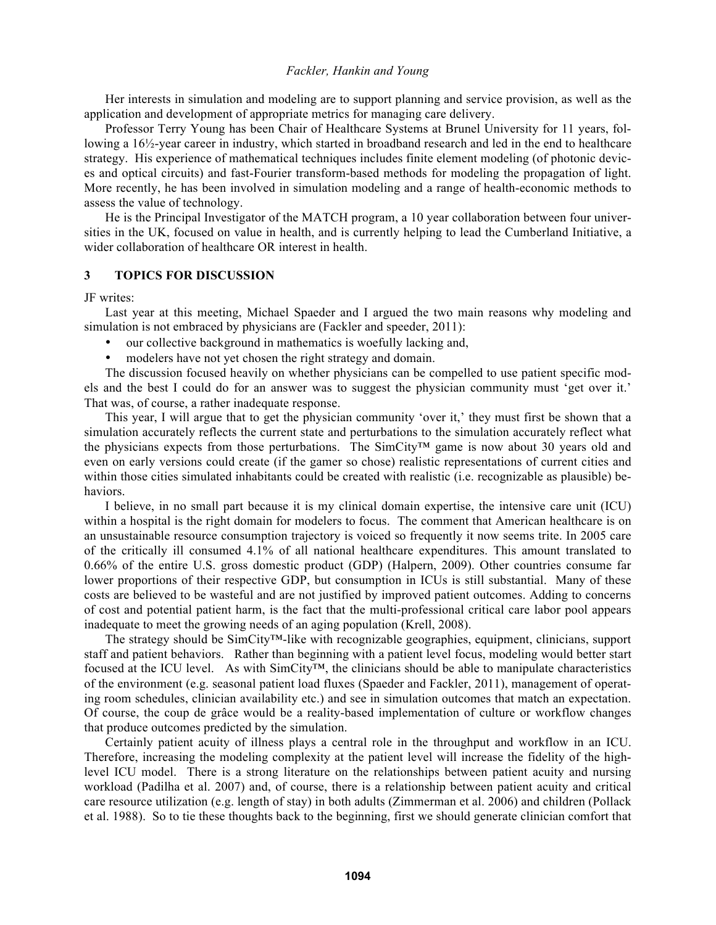Her interests in simulation and modeling are to support planning and service provision, as well as the application and development of appropriate metrics for managing care delivery.

 Professor Terry Young has been Chair of Healthcare Systems at Brunel University for 11 years, following a 16½-year career in industry, which started in broadband research and led in the end to healthcare strategy. His experience of mathematical techniques includes finite element modeling (of photonic devices and optical circuits) and fast-Fourier transform-based methods for modeling the propagation of light. More recently, he has been involved in simulation modeling and a range of health-economic methods to assess the value of technology.

 He is the Principal Investigator of the MATCH program, a 10 year collaboration between four universities in the UK, focused on value in health, and is currently helping to lead the Cumberland Initiative, a wider collaboration of healthcare OR interest in health.

#### **3 TOPICS FOR DISCUSSION**

JF writes:

 Last year at this meeting, Michael Spaeder and I argued the two main reasons why modeling and simulation is not embraced by physicians are (Fackler and speeder, 2011):

- our collective background in mathematics is woefully lacking and,
- modelers have not yet chosen the right strategy and domain.

 The discussion focused heavily on whether physicians can be compelled to use patient specific models and the best I could do for an answer was to suggest the physician community must 'get over it.' That was, of course, a rather inadequate response.

This year, I will argue that to get the physician community 'over it,' they must first be shown that a simulation accurately reflects the current state and perturbations to the simulation accurately reflect what the physicians expects from those perturbations. The SimCity™ game is now about 30 years old and even on early versions could create (if the gamer so chose) realistic representations of current cities and within those cities simulated inhabitants could be created with realistic (i.e. recognizable as plausible) behaviors.

 I believe, in no small part because it is my clinical domain expertise, the intensive care unit (ICU) within a hospital is the right domain for modelers to focus. The comment that American healthcare is on an unsustainable resource consumption trajectory is voiced so frequently it now seems trite. In 2005 care of the critically ill consumed 4.1% of all national healthcare expenditures. This amount translated to 0.66% of the entire U.S. gross domestic product (GDP) (Halpern, 2009). Other countries consume far lower proportions of their respective GDP, but consumption in ICUs is still substantial. Many of these costs are believed to be wasteful and are not justified by improved patient outcomes. Adding to concerns of cost and potential patient harm, is the fact that the multi-professional critical care labor pool appears inadequate to meet the growing needs of an aging population (Krell, 2008).

 The strategy should be SimCity™-like with recognizable geographies, equipment, clinicians, support staff and patient behaviors. Rather than beginning with a patient level focus, modeling would better start focused at the ICU level. As with SimCity™, the clinicians should be able to manipulate characteristics of the environment (e.g. seasonal patient load fluxes (Spaeder and Fackler, 2011), management of operating room schedules, clinician availability etc.) and see in simulation outcomes that match an expectation. Of course, the coup de grâce would be a reality-based implementation of culture or workflow changes that produce outcomes predicted by the simulation.

 Certainly patient acuity of illness plays a central role in the throughput and workflow in an ICU. Therefore, increasing the modeling complexity at the patient level will increase the fidelity of the highlevel ICU model. There is a strong literature on the relationships between patient acuity and nursing workload (Padilha et al. 2007) and, of course, there is a relationship between patient acuity and critical care resource utilization (e.g. length of stay) in both adults (Zimmerman et al. 2006) and children (Pollack et al. 1988). So to tie these thoughts back to the beginning, first we should generate clinician comfort that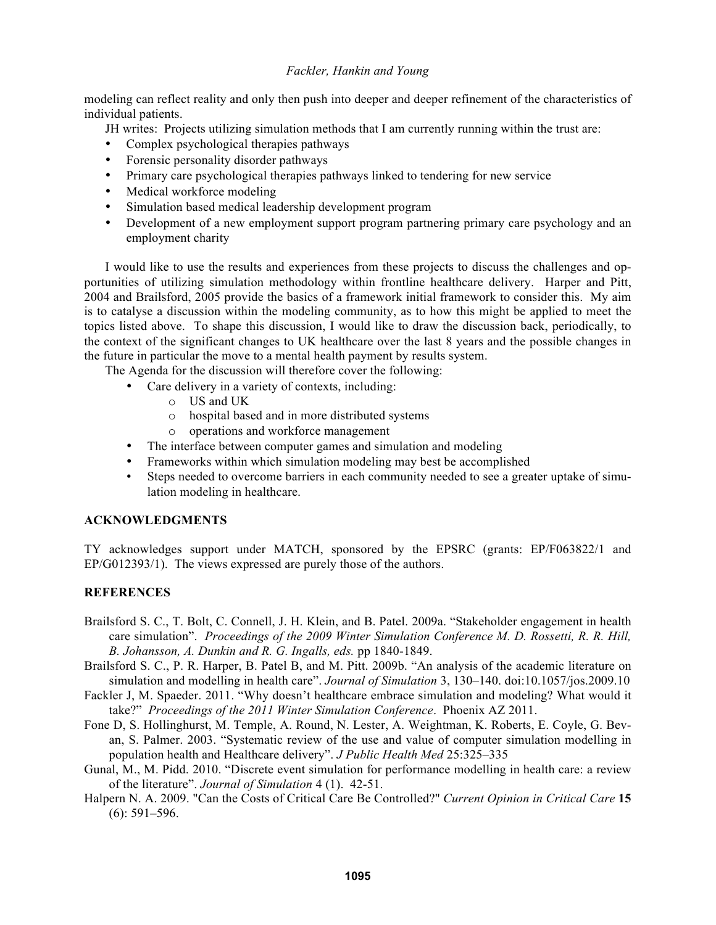modeling can reflect reality and only then push into deeper and deeper refinement of the characteristics of individual patients.

- JH writes: Projects utilizing simulation methods that I am currently running within the trust are:
- Complex psychological therapies pathways
- Forensic personality disorder pathways
- Primary care psychological therapies pathways linked to tendering for new service
- Medical workforce modeling
- Simulation based medical leadership development program
- Development of a new employment support program partnering primary care psychology and an employment charity

 I would like to use the results and experiences from these projects to discuss the challenges and opportunities of utilizing simulation methodology within frontline healthcare delivery. Harper and Pitt, 2004 and Brailsford, 2005 provide the basics of a framework initial framework to consider this. My aim is to catalyse a discussion within the modeling community, as to how this might be applied to meet the topics listed above. To shape this discussion, I would like to draw the discussion back, periodically, to the context of the significant changes to UK healthcare over the last 8 years and the possible changes in the future in particular the move to a mental health payment by results system.

The Agenda for the discussion will therefore cover the following:

- Care delivery in a variety of contexts, including:
	- o US and UK
	- o hospital based and in more distributed systems
	- o operations and workforce management
- The interface between computer games and simulation and modeling
- Frameworks within which simulation modeling may best be accomplished
- Steps needed to overcome barriers in each community needed to see a greater uptake of simulation modeling in healthcare.

# **ACKNOWLEDGMENTS**

TY acknowledges support under MATCH, sponsored by the EPSRC (grants: EP/F063822/1 and EP/G012393/1). The views expressed are purely those of the authors.

# **REFERENCES**

Brailsford S. C., T. Bolt, C. Connell, J. H. Klein, and B. Patel. 2009a. "Stakeholder engagement in health care simulation". *Proceedings of the 2009 Winter Simulation Conference M. D. Rossetti, R. R. Hill, B. Johansson, A. Dunkin and R. G. Ingalls, eds.* pp 1840-1849.

Brailsford S. C., P. R. Harper, B. Patel B, and M. Pitt. 2009b. "An analysis of the academic literature on simulation and modelling in health care". *Journal of Simulation* 3, 130–140. doi:10.1057/jos.2009.10

Fackler J, M. Spaeder. 2011. "Why doesn't healthcare embrace simulation and modeling? What would it take?" *Proceedings of the 2011 Winter Simulation Conference*. Phoenix AZ 2011.

- Fone D, S. Hollinghurst, M. Temple, A. Round, N. Lester, A. Weightman, K. Roberts, E. Coyle, G. Bevan, S. Palmer. 2003. "Systematic review of the use and value of computer simulation modelling in population health and Healthcare delivery". *J Public Health Med* 25:325–335
- Gunal, M., M. Pidd. 2010. "Discrete event simulation for performance modelling in health care: a review of the literature". *Journal of Simulation* 4 (1). 42-51.
- Halpern N. A. 2009. "Can the Costs of Critical Care Be Controlled?" *Current Opinion in Critical Care* **15**  (6): 591–596.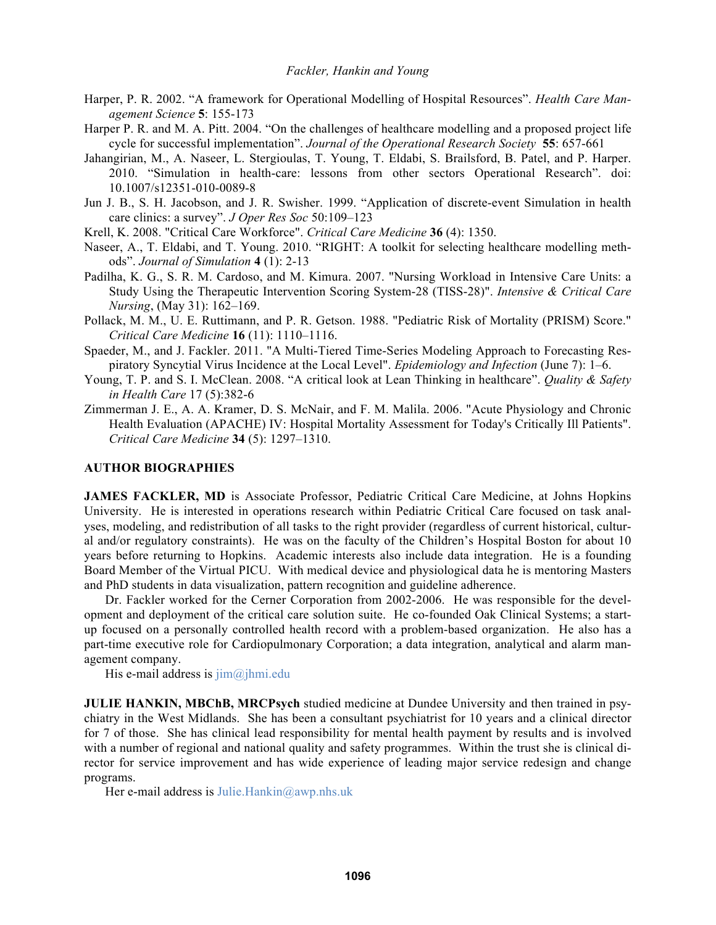- Harper, P. R. 2002. "A framework for Operational Modelling of Hospital Resources". *Health Care Management Science* **5**: 155-173
- Harper P. R. and M. A. Pitt. 2004. "On the challenges of healthcare modelling and a proposed project life cycle for successful implementation". *Journal of the Operational Research Society* **55**: 657-661
- Jahangirian, M., A. Naseer, L. Stergioulas, T. Young, T. Eldabi, S. Brailsford, B. Patel, and P. Harper. 2010. "Simulation in health-care: lessons from other sectors Operational Research". doi: 10.1007/s12351-010-0089-8
- Jun J. B., S. H. Jacobson, and J. R. Swisher. 1999. "Application of discrete-event Simulation in health care clinics: a survey". *J Oper Res Soc* 50:109–123
- Krell, K. 2008. "Critical Care Workforce". *Critical Care Medicine* **36** (4): 1350.
- Naseer, A., T. Eldabi, and T. Young. 2010. "RIGHT: A toolkit for selecting healthcare modelling methods". *Journal of Simulation* **4** (1): 2-13
- Padilha, K. G., S. R. M. Cardoso, and M. Kimura. 2007. "Nursing Workload in Intensive Care Units: a Study Using the Therapeutic Intervention Scoring System-28 (TISS-28)". *Intensive & Critical Care Nursing*, (May 31): 162–169.
- Pollack, M. M., U. E. Ruttimann, and P. R. Getson. 1988. "Pediatric Risk of Mortality (PRISM) Score." *Critical Care Medicine* **16** (11): 1110–1116.
- Spaeder, M., and J. Fackler. 2011. "A Multi-Tiered Time-Series Modeling Approach to Forecasting Respiratory Syncytial Virus Incidence at the Local Level". *Epidemiology and Infection* (June 7): 1–6.
- Young, T. P. and S. I. McClean. 2008. "A critical look at Lean Thinking in healthcare". *Quality & Safety in Health Care* 17 (5):382-6
- Zimmerman J. E., A. A. Kramer, D. S. McNair, and F. M. Malila. 2006. "Acute Physiology and Chronic Health Evaluation (APACHE) IV: Hospital Mortality Assessment for Today's Critically Ill Patients". *Critical Care Medicine* **34** (5): 1297–1310.

## **AUTHOR BIOGRAPHIES**

**JAMES FACKLER, MD** is Associate Professor, Pediatric Critical Care Medicine, at Johns Hopkins University. He is interested in operations research within Pediatric Critical Care focused on task analyses, modeling, and redistribution of all tasks to the right provider (regardless of current historical, cultural and/or regulatory constraints). He was on the faculty of the Children's Hospital Boston for about 10 years before returning to Hopkins. Academic interests also include data integration. He is a founding Board Member of the Virtual PICU. With medical device and physiological data he is mentoring Masters and PhD students in data visualization, pattern recognition and guideline adherence.

 Dr. Fackler worked for the Cerner Corporation from 2002-2006. He was responsible for the development and deployment of the critical care solution suite. He co-founded Oak Clinical Systems; a startup focused on a personally controlled health record with a problem-based organization. He also has a part-time executive role for Cardiopulmonary Corporation; a data integration, analytical and alarm management company.

His e-mail address is  $\lim_{n \to \infty}$  (a) ihmi.edu

**JULIE HANKIN, MBChB, MRCPsych** studied medicine at Dundee University and then trained in psychiatry in the West Midlands. She has been a consultant psychiatrist for 10 years and a clinical director for 7 of those. She has clinical lead responsibility for mental health payment by results and is involved with a number of regional and national quality and safety programmes. Within the trust she is clinical director for service improvement and has wide experience of leading major service redesign and change programs.

Her e-mail address is Julie.Hankin@awp.nhs.uk